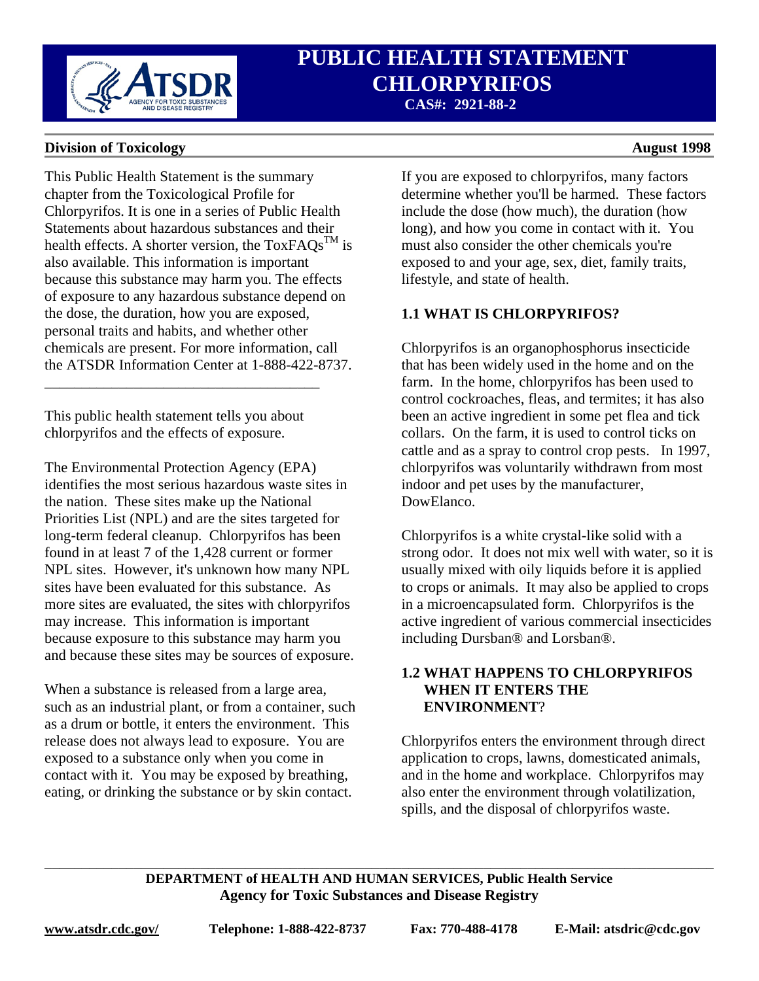

# **Division of Toxicology** August 1998 **August 1998**

This Public Health Statement is the summary chapter from the Toxicological Profile for Chlorpyrifos. It is one in a series of Public Health Statements about hazardous substances and their health effects. A shorter version, the ToxFAQs<sup>TM</sup> is also available. This information is important because this substance may harm you. The effects of exposure to any hazardous substance depend on the dose, the duration, how you are exposed, personal traits and habits, and whether other chemicals are present. For more information, call the ATSDR Information Center at 1-888-422-8737.

This public health statement tells you about chlorpyrifos and the effects of exposure.

\_\_\_\_\_\_\_\_\_\_\_\_\_\_\_\_\_\_\_\_\_\_\_\_\_\_\_\_\_\_\_\_\_\_\_\_\_

The Environmental Protection Agency (EPA) identifies the most serious hazardous waste sites in the nation. These sites make up the National Priorities List (NPL) and are the sites targeted for long-term federal cleanup. Chlorpyrifos has been found in at least 7 of the 1,428 current or former NPL sites. However, it's unknown how many NPL sites have been evaluated for this substance. As more sites are evaluated, the sites with chlorpyrifos may increase. This information is important because exposure to this substance may harm you and because these sites may be sources of exposure.

When a substance is released from a large area, such as an industrial plant, or from a container, such as a drum or bottle, it enters the environment. This release does not always lead to exposure. You are exposed to a substance only when you come in contact with it. You may be exposed by breathing, eating, or drinking the substance or by skin contact.

If you are exposed to chlorpyrifos, many factors determine whether you'll be harmed. These factors include the dose (how much), the duration (how long), and how you come in contact with it. You must also consider the other chemicals you're exposed to and your age, sex, diet, family traits, lifestyle, and state of health.

# **1.1 WHAT IS CHLORPYRIFOS?**

Chlorpyrifos is an organophosphorus insecticide that has been widely used in the home and on the farm. In the home, chlorpyrifos has been used to control cockroaches, fleas, and termites; it has also been an active ingredient in some pet flea and tick collars. On the farm, it is used to control ticks on cattle and as a spray to control crop pests. In 1997, chlorpyrifos was voluntarily withdrawn from most indoor and pet uses by the manufacturer, DowElanco.

 including Dursban® and Lorsban®. Chlorpyrifos is a white crystal-like solid with a strong odor. It does not mix well with water, so it is usually mixed with oily liquids before it is applied to crops or animals. It may also be applied to crops in a microencapsulated form. Chlorpyrifos is the active ingredient of various commercial insecticides

## **1.2 WHAT HAPPENS TO CHLORPYRIFOS WHEN IT ENTERS THE ENVIRONMENT**?

Chlorpyrifos enters the environment through direct application to crops, lawns, domesticated animals, and in the home and workplace. Chlorpyrifos may also enter the environment through volatilization, spills, and the disposal of chlorpyrifos waste.

**DEPARTMENT of HEALTH AND HUMAN SERVICES, Public Health Service Agency for Toxic Substances and Disease Registry** 

\_\_\_\_\_\_\_\_\_\_\_\_\_\_\_\_\_\_\_\_\_\_\_\_\_\_\_\_\_\_\_\_\_\_\_\_\_\_\_\_\_\_\_\_\_\_\_\_\_\_\_\_\_\_\_\_\_\_\_\_\_\_\_\_\_\_\_\_\_\_\_\_\_\_\_\_\_\_\_\_\_\_\_\_\_\_\_\_\_\_

www.atsdr.cdc.gov/ **www.atsdr.cdc.gov/ Telephone: 1-888-422-8737 Fax: 770-488-4178 E-Mail: atsdric@cdc.gov**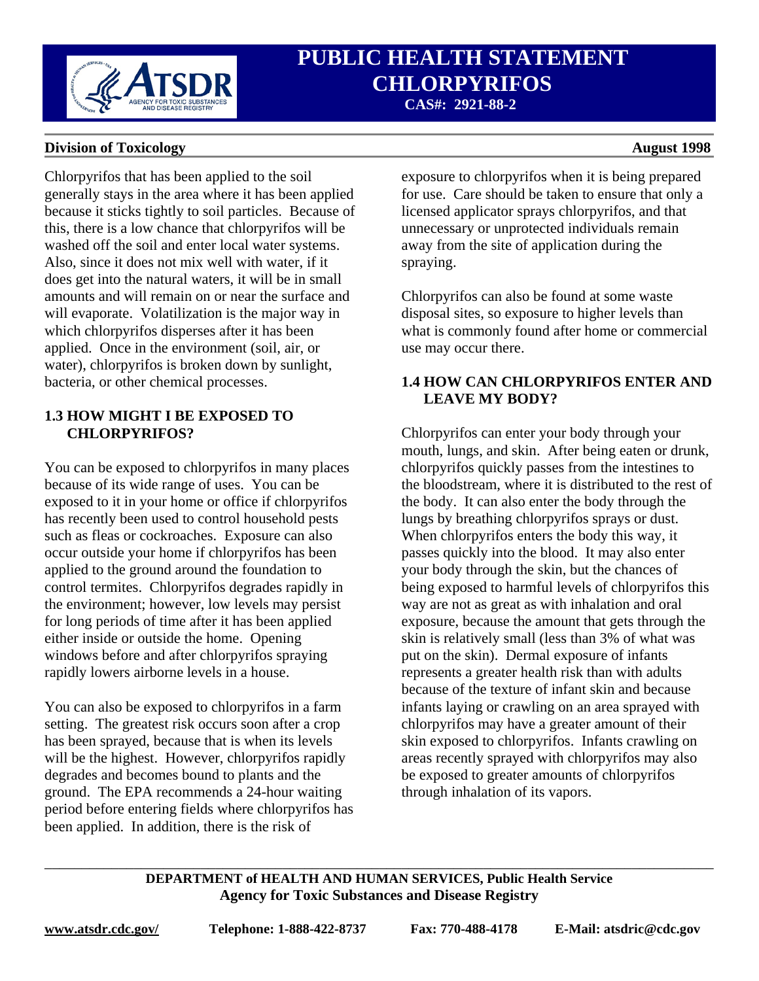

# **Division of Toxicology** August 1998 **August 1998**

Chlorpyrifos that has been applied to the soil generally stays in the area where it has been applied because it sticks tightly to soil particles. Because of this, there is a low chance that chlorpyrifos will be washed off the soil and enter local water systems. Also, since it does not mix well with water, if it does get into the natural waters, it will be in small amounts and will remain on or near the surface and will evaporate. Volatilization is the major way in which chlorpyrifos disperses after it has been applied. Once in the environment (soil, air, or water), chlorpyrifos is broken down by sunlight, bacteria, or other chemical processes.

# **1.3 HOW MIGHT I BE EXPOSED TO CHLORPYRIFOS?**

You can be exposed to chlorpyrifos in many places because of its wide range of uses. You can be exposed to it in your home or office if chlorpyrifos has recently been used to control household pests such as fleas or cockroaches. Exposure can also occur outside your home if chlorpyrifos has been applied to the ground around the foundation to control termites. Chlorpyrifos degrades rapidly in the environment; however, low levels may persist for long periods of time after it has been applied either inside or outside the home. Opening windows before and after chlorpyrifos spraying rapidly lowers airborne levels in a house.

You can also be exposed to chlorpyrifos in a farm setting. The greatest risk occurs soon after a crop has been sprayed, because that is when its levels will be the highest. However, chlorpyrifos rapidly degrades and becomes bound to plants and the ground. The EPA recommends a 24-hour waiting period before entering fields where chlorpyrifos has been applied. In addition, there is the risk of

exposure to chlorpyrifos when it is being prepared for use. Care should be taken to ensure that only a licensed applicator sprays chlorpyrifos, and that unnecessary or unprotected individuals remain away from the site of application during the spraying.

Chlorpyrifos can also be found at some waste disposal sites, so exposure to higher levels than what is commonly found after home or commercial use may occur there.

# **1.4 HOW CAN CHLORPYRIFOS ENTER AND LEAVE MY BODY?**

Chlorpyrifos can enter your body through your mouth, lungs, and skin. After being eaten or drunk, chlorpyrifos quickly passes from the intestines to the bloodstream, where it is distributed to the rest of the body. It can also enter the body through the lungs by breathing chlorpyrifos sprays or dust. When chlorpyrifos enters the body this way, it passes quickly into the blood. It may also enter your body through the skin, but the chances of being exposed to harmful levels of chlorpyrifos this way are not as great as with inhalation and oral exposure, because the amount that gets through the skin is relatively small (less than 3% of what was put on the skin). Dermal exposure of infants represents a greater health risk than with adults because of the texture of infant skin and because infants laying or crawling on an area sprayed with chlorpyrifos may have a greater amount of their skin exposed to chlorpyrifos. Infants crawling on areas recently sprayed with chlorpyrifos may also be exposed to greater amounts of chlorpyrifos through inhalation of its vapors.

## \_\_\_\_\_\_\_\_\_\_\_\_\_\_\_\_\_\_\_\_\_\_\_\_\_\_\_\_\_\_\_\_\_\_\_\_\_\_\_\_\_\_\_\_\_\_\_\_\_\_\_\_\_\_\_\_\_\_\_\_\_\_\_\_\_\_\_\_\_\_\_\_\_\_\_\_\_\_\_\_\_\_\_\_\_\_\_\_\_\_ **DEPARTMENT of HEALTH AND HUMAN SERVICES, Public Health Service Agency for Toxic Substances and Disease Registry**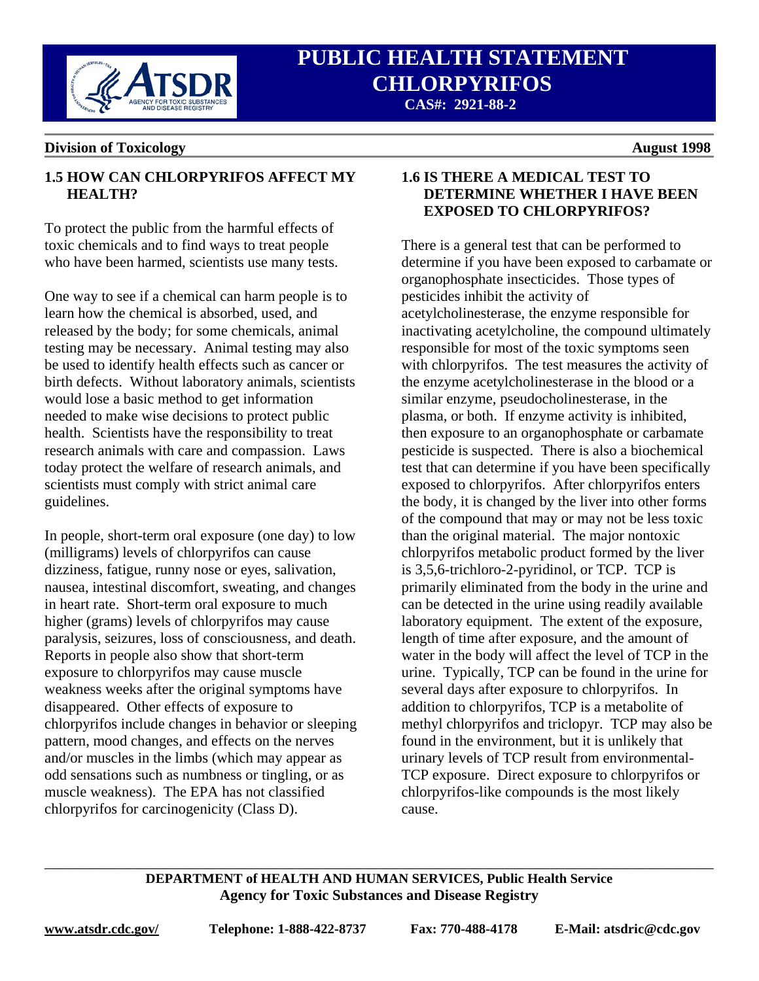

## **Division of Toxicology August 1998**

# **1.5 HOW CAN CHLORPYRIFOS AFFECT MY HEALTH?**

To protect the public from the harmful effects of toxic chemicals and to find ways to treat people who have been harmed, scientists use many tests.

One way to see if a chemical can harm people is to learn how the chemical is absorbed, used, and released by the body; for some chemicals, animal testing may be necessary. Animal testing may also be used to identify health effects such as cancer or birth defects. Without laboratory animals, scientists would lose a basic method to get information needed to make wise decisions to protect public health. Scientists have the responsibility to treat research animals with care and compassion. Laws today protect the welfare of research animals, and scientists must comply with strict animal care guidelines.

In people, short-term oral exposure (one day) to low (milligrams) levels of chlorpyrifos can cause dizziness, fatigue, runny nose or eyes, salivation, nausea, intestinal discomfort, sweating, and changes in heart rate. Short-term oral exposure to much higher (grams) levels of chlorpyrifos may cause paralysis, seizures, loss of consciousness, and death. Reports in people also show that short-term exposure to chlorpyrifos may cause muscle weakness weeks after the original symptoms have disappeared. Other effects of exposure to chlorpyrifos include changes in behavior or sleeping pattern, mood changes, and effects on the nerves and/or muscles in the limbs (which may appear as odd sensations such as numbness or tingling, or as muscle weakness). The EPA has not classified chlorpyrifos for carcinogenicity (Class D).

# **EXPOSED TO CHLORPYRIFOS? 1.6 IS THERE A MEDICAL TEST TO DETERMINE WHETHER I HAVE BEEN**

There is a general test that can be performed to determine if you have been exposed to carbamate or organophosphate insecticides. Those types of pesticides inhibit the activity of acetylcholinesterase, the enzyme responsible for inactivating acetylcholine, the compound ultimately responsible for most of the toxic symptoms seen with chlorpyrifos. The test measures the activity of the enzyme acetylcholinesterase in the blood or a similar enzyme, pseudocholinesterase, in the plasma, or both. If enzyme activity is inhibited, then exposure to an organophosphate or carbamate pesticide is suspected. There is also a biochemical test that can determine if you have been specifically exposed to chlorpyrifos. After chlorpyrifos enters the body, it is changed by the liver into other forms of the compound that may or may not be less toxic than the original material. The major nontoxic chlorpyrifos metabolic product formed by the liver is 3,5,6-trichloro-2-pyridinol, or TCP. TCP is primarily eliminated from the body in the urine and can be detected in the urine using readily available laboratory equipment. The extent of the exposure, length of time after exposure, and the amount of water in the body will affect the level of TCP in the urine. Typically, TCP can be found in the urine for several days after exposure to chlorpyrifos. In addition to chlorpyrifos, TCP is a metabolite of methyl chlorpyrifos and triclopyr. TCP may also be found in the environment, but it is unlikely that urinary levels of TCP result from environmental-TCP exposure. Direct exposure to chlorpyrifos or chlorpyrifos-like compounds is the most likely cause.

**DEPARTMENT of HEALTH AND HUMAN SERVICES, Public Health Service Agency for Toxic Substances and Disease Registry** 

\_\_\_\_\_\_\_\_\_\_\_\_\_\_\_\_\_\_\_\_\_\_\_\_\_\_\_\_\_\_\_\_\_\_\_\_\_\_\_\_\_\_\_\_\_\_\_\_\_\_\_\_\_\_\_\_\_\_\_\_\_\_\_\_\_\_\_\_\_\_\_\_\_\_\_\_\_\_\_\_\_\_\_\_\_\_\_\_\_\_

| /www.atsdr.cdc.gov | Telephone: 1-888-422-8737 | Fax: 770-488-4178 | E-Mail: atsdric@cdc.gov |
|--------------------|---------------------------|-------------------|-------------------------|
|--------------------|---------------------------|-------------------|-------------------------|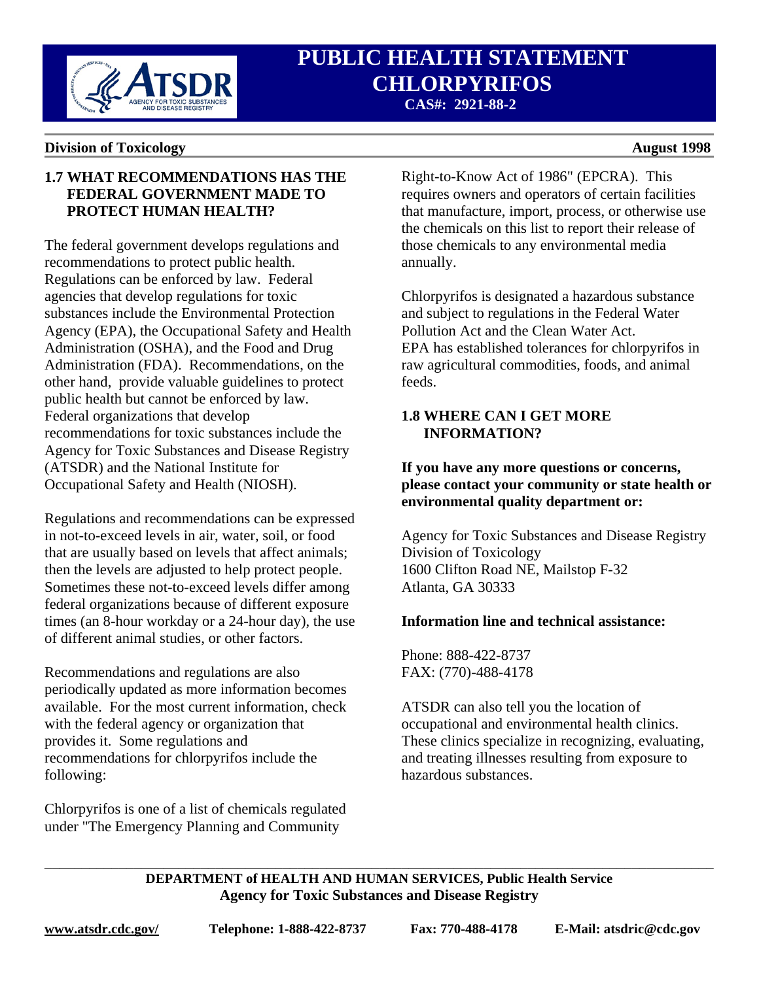

## **Division of Toxicology August 1998**

# **1.7 WHAT RECOMMENDATIONS HAS THE FEDERAL GOVERNMENT MADE TO PROTECT HUMAN HEALTH?**

The federal government develops regulations and recommendations to protect public health. Regulations can be enforced by law. Federal agencies that develop regulations for toxic substances include the Environmental Protection Agency (EPA), the Occupational Safety and Health Administration (OSHA), and the Food and Drug Administration (FDA). Recommendations, on the other hand, provide valuable guidelines to protect public health but cannot be enforced by law. Federal organizations that develop recommendations for toxic substances include the Agency for Toxic Substances and Disease Registry (ATSDR) and the National Institute for Occupational Safety and Health (NIOSH).

 then the levels are adjusted to help protect people. Regulations and recommendations can be expressed in not-to-exceed levels in air, water, soil, or food that are usually based on levels that affect animals; Sometimes these not-to-exceed levels differ among federal organizations because of different exposure times (an 8-hour workday or a 24-hour day), the use of different animal studies, or other factors.

Recommendations and regulations are also periodically updated as more information becomes available. For the most current information, check with the federal agency or organization that provides it. Some regulations and recommendations for chlorpyrifos include the following:

Chlorpyrifos is one of a list of chemicals regulated under "The Emergency Planning and Community

Right-to-Know Act of 1986" (EPCRA). This requires owners and operators of certain facilities that manufacture, import, process, or otherwise use the chemicals on this list to report their release of those chemicals to any environmental media annually.

Chlorpyrifos is designated a hazardous substance and subject to regulations in the Federal Water Pollution Act and the Clean Water Act. EPA has established tolerances for chlorpyrifos in raw agricultural commodities, foods, and animal feeds.

# **1.8 WHERE CAN I GET MORE INFORMATION?**

## **If you have any more questions or concerns, please contact your community or state health or environmental quality department or:**

Agency for Toxic Substances and Disease Registry Division of Toxicology 1600 Clifton Road NE, Mailstop F-32 Atlanta, GA 30333

## **Information line and technical assistance:**

Phone: 888-422-8737 FAX: (770)-488-4178

ATSDR can also tell you the location of occupational and environmental health clinics. These clinics specialize in recognizing, evaluating, and treating illnesses resulting from exposure to hazardous substances.

**DEPARTMENT of HEALTH AND HUMAN SERVICES, Public Health Service Agency for Toxic Substances and Disease Registry** 

\_\_\_\_\_\_\_\_\_\_\_\_\_\_\_\_\_\_\_\_\_\_\_\_\_\_\_\_\_\_\_\_\_\_\_\_\_\_\_\_\_\_\_\_\_\_\_\_\_\_\_\_\_\_\_\_\_\_\_\_\_\_\_\_\_\_\_\_\_\_\_\_\_\_\_\_\_\_\_\_\_\_\_\_\_\_\_\_\_\_

www.atsdr.cdc.gov/

**www.atsdr.cdc.gov/ Telephone: 1-888-422-8737 Fax: 770-488-4178 E-Mail: atsdric@cdc.gov**